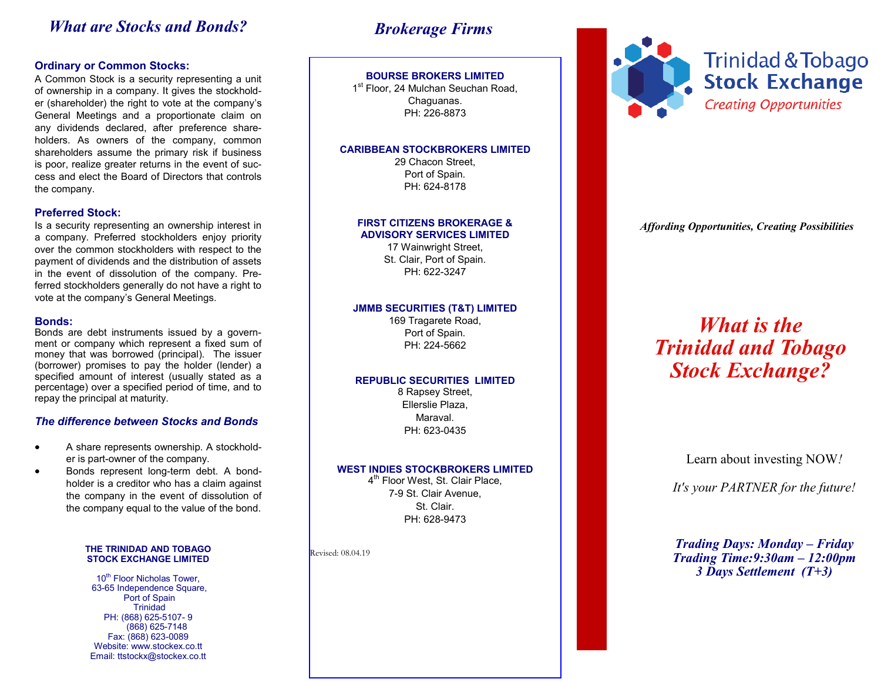# *What are Stocks and Bonds?*

# **Ordinary or Common Stocks:**

A Common Stock is a security representing a unit of ownership in a company. It gives the stockholder (shareholder) the right to vote at the company's General Meetings and a proportionate claim on any dividends declared, after preference shareholders. As owners of the company, common shareholders assume the primary risk if business is poor, realize greater returns in the event of success and elect the Board of Directors that controls the company.

# **Preferred Stock:**

Is a security representing an ownership interest in a company. Preferred stockholders enjoy priority over the common stockholders with respect to the payment of dividends and the distribution of assets in the event of dissolution of the company. Preferred stockholders generally do not have a right to vote at the company's General Meetings.

## **Bonds:**

Bonds are debt instruments issued by a government or company which represent a fixed sum of money that was borrowed (principal). The issuer (borrower) promises to pay the holder (lender) a specified amount of interest (usually stated as a percentage) over a specified period of time, and to repay the principal at maturity.

# *The difference between Stocks and Bonds*

- A share represents ownership. A stockholder is part-owner of the company.
- Bonds represent long-term debt. A bondholder is a creditor who has a claim against the company in the event of dissolution of the company equal to the value of the bond.

### **THE TRINIDAD AND TOBAGO STOCK EXCHANGE LIMITED**

10<sup>th</sup> Floor Nicholas Tower, 63-65 Independence Square, Port of Spain **Trinidad** PH: (868) 625-5107- 9 (868) 625-7148 Fax: (868) 623-0089 Website: www.stockex.co.tt Email: ttstockx@stockex.co.tt

# *Brokerage Firms*

# **BOURSE BROKERS LIMITED**

1<sup>st</sup> Floor, 24 Mulchan Seuchan Road, Chaguanas. PH: 226-8873

### **CARIBBEAN STOCKBROKERS LIMITED**

29 Chacon Street, Port of Spain. PH: 624-8178

### **FIRST CITIZENS BROKERAGE & ADVISORY SERVICES LIMITED**

17 Wainwright Street, St. Clair, Port of Spain. PH: 622-3247

# **JMMB SECURITIES (T&T) LIMITED**

169 Tragarete Road, Port of Spain. PH: 224-5662

### **REPUBLIC SECURITIES LIMITED**

8 Rapsey Street, Ellerslie Plaza, Maraval. PH: 623-0435

# **WEST INDIES STOCKBROKERS LIMITED**

4<sup>th</sup> Floor West, St. Clair Place, 7-9 St. Clair Avenue, St. Clair. PH: 628-9473

Revised: 08.04.19



*Affording Opportunities, Creating Possibilities*

# *What is the Trinidad and Tobago Stock Exchange?*

Learn about investing NOW*!*

*It's your PARTNER for the future!*

*Trading Days: Monday – Friday Trading Time:9:30am – 12:00pm 3 Days Settlement (T+3)*